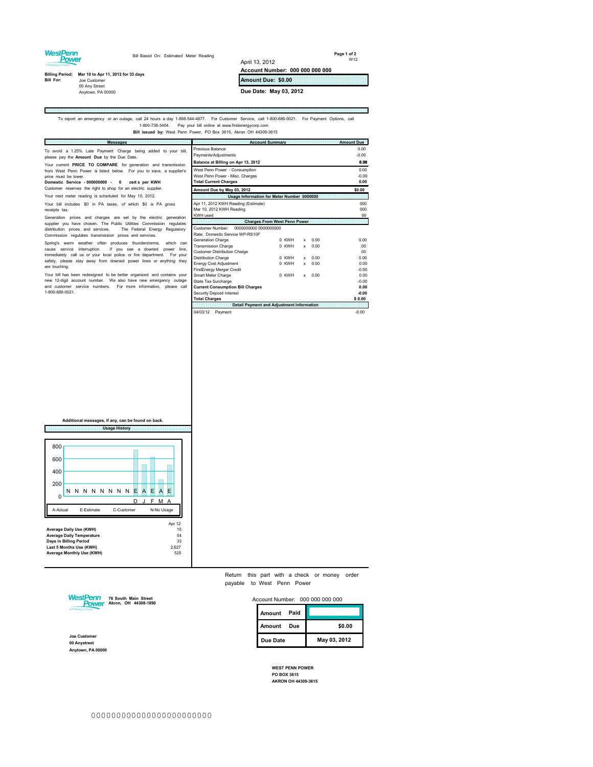### WestPenn<br>Power

E

Bill Based On: Estimated Meter Reading

**Page 1 of 2** W12

m)

# **Billing Period: Mar 10 to Apr 11, 2012 for 33 days<br>
<b>Bill For:** Joe Customer<br>
00 Any Street<br>
Anytown, PA 00000

**Amount Due: \$0.00 Due Date: May 03, 2012**

**Account Number: 000 000 000 000**

April 13, 2012

## To report an emergency or an outage, call 24 hours a day 1-888-544-4877. For Customer Service, call 1-800-686-0021. For Payment Options, call<br>1-800-736-3404. Pay your bill online at www.firstenergycorp.com<br>Bill Issued by:

| <b>Messages</b>                                                                   | <b>Account Summary</b>                               | <b>Amount Due</b> |  |  |  |  |  |
|-----------------------------------------------------------------------------------|------------------------------------------------------|-------------------|--|--|--|--|--|
| To avoid a 1.25% Late Payment Charge being added to your bill,                    | Previous Balance                                     | 0.00              |  |  |  |  |  |
| please pay the Amount Due by the Due Date.                                        | Payments/Adjustments                                 | $-0.00$           |  |  |  |  |  |
| Your current PRICE TO COMPARE for generation and transmission                     | Balance at Billing on Apr 13, 2012                   | 0.00              |  |  |  |  |  |
| from West Penn Power is listed below. For you to save, a supplier's               | West Penn Power - Consumption                        | 0.00              |  |  |  |  |  |
| price must be lower.                                                              | West Penn Power - Misc. Charges                      | $-0.00$           |  |  |  |  |  |
| Domestic Service - 000000000 - 0<br>certs per KWH                                 | <b>Total Current Charges</b>                         | 0.00              |  |  |  |  |  |
| Customer reserves the right to shop for an electric supplier.                     | Amount Due by May 03, 2012                           | \$0.00            |  |  |  |  |  |
| Your next meter reading is scheduled for May 10, 2012.                            | Usage Information for Meter Number 0000000           |                   |  |  |  |  |  |
| Your bill includes \$0 in PA taxes, of which \$0 is PA gross                      | Apr 11, 2012 KWH Reading (Estimate)                  | 000               |  |  |  |  |  |
| receipts tax.                                                                     | Mar 10, 2012 KWH Reading                             | 000               |  |  |  |  |  |
| Generation prices and charges are set by the electric generation                  | <b>KWH</b> used                                      | 00                |  |  |  |  |  |
| supplier you have chosen. The Public Utilities Commission regulates               | <b>Charges From West Penn Power</b>                  |                   |  |  |  |  |  |
| distribution prices and services.<br>The Federal Energy Regulatory                | 0000000000 0000000000<br>Customer Number:            |                   |  |  |  |  |  |
| Commission regulates transmission prices and services.                            | Rate: Domestic Service WP-RS10F                      |                   |  |  |  |  |  |
| Spring's warm weather often produces thunderstorms,<br>which can                  | 0 KWH<br>Generation Charge<br>0.00<br>x              | 0.00              |  |  |  |  |  |
| cause service interruption.<br>If you see a downed<br>line.<br>power              | <b>Transmission Charge</b><br>0 KWH<br>0.00<br>x     | $00 -$            |  |  |  |  |  |
| immediately call us or your local police or fire department.<br>For your          | <b>Customer Distribution Charge</b>                  | 00 <sup>1</sup>   |  |  |  |  |  |
| safety, please stay away from downed power lines or anything they                 | Distribution Charge<br>0 KWH<br>0.00<br>$\mathbf{x}$ | 0.00              |  |  |  |  |  |
| are touching.                                                                     | Energy Cost Adjustment<br>0 KWH<br>$x = 0.00$        | 0.00              |  |  |  |  |  |
|                                                                                   | FirstEnergy Merger Credit                            | $-0.00$           |  |  |  |  |  |
| Your bill has been redesigned to be better organized and contains your            | Smart Meter Charge<br>0 KWH<br>0.00<br>$\mathbf{x}$  | 0.00              |  |  |  |  |  |
| new 12-digit account number. We also have new emergency outage                    | State Tax Surcharge                                  | $-0.00$           |  |  |  |  |  |
| and customer service numbers. For more information, please call<br>1-800-686-0021 | <b>Current Consumption Bill Charges</b>              | 0.00              |  |  |  |  |  |
|                                                                                   | Security Deposit Interest                            | $-0.00$           |  |  |  |  |  |
|                                                                                   | <b>Total Charges</b>                                 | \$0.00            |  |  |  |  |  |
|                                                                                   | <b>Detail Payment and Adjustment Information</b>     |                   |  |  |  |  |  |
|                                                                                   | 04/03/12 Payment                                     | $-0.00$           |  |  |  |  |  |

**Usage History Additional messages, if any, can be found on back.**

| 800                                                                                                                                                                                       |   |            |  |  |  |           |            |   |   |  |    |   |   |  |
|-------------------------------------------------------------------------------------------------------------------------------------------------------------------------------------------|---|------------|--|--|--|-----------|------------|---|---|--|----|---|---|--|
| 600                                                                                                                                                                                       |   |            |  |  |  |           |            |   |   |  |    |   |   |  |
| 400                                                                                                                                                                                       |   |            |  |  |  |           |            |   |   |  |    |   |   |  |
| 200                                                                                                                                                                                       |   |            |  |  |  |           |            |   |   |  |    |   |   |  |
|                                                                                                                                                                                           | Ν |            |  |  |  | N N N N N | N.         | N | Е |  | F  | Α | F |  |
| 0                                                                                                                                                                                         |   |            |  |  |  |           |            |   |   |  | E. | м |   |  |
| A-Actual<br>F-Fstimate                                                                                                                                                                    |   | C-Customer |  |  |  |           | N-No Usage |   |   |  |    |   |   |  |
| Apr 12<br>Average Daily Use (KWH)<br>15<br>54<br><b>Average Daily Temperature</b><br>Days in Billing Period<br>33<br>Last 5 Months Use (KWH)<br>2,627<br>Average Monthly Use (KWH)<br>525 |   |            |  |  |  |           |            |   |   |  |    |   |   |  |

Return this part with a check or money order payable to West Penn Power

Account Number: 000 000 000 000



**Joe Customer 00 Anystreet Anytown, PA 00000**

| Paid<br>Amount |              |
|----------------|--------------|
| Amount<br>Due  | \$0.00       |
| Due Date       | May 03, 2012 |

**WEST PENN POWER PO BOX 3615 AKRON OH 44309-3615**